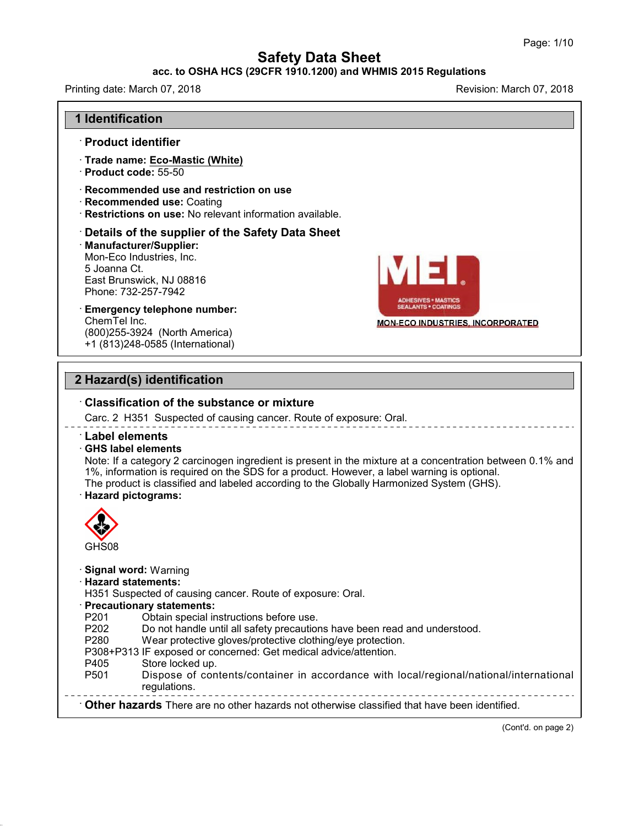### **acc. to OSHA HCS (29CFR 1910.1200) and WHMIS 2015 Regulations**

Printing date: March 07, 2018 **Printing date: March 07, 2018** Revision: March 07, 2018

46.0.4



(Cont'd. on page 2)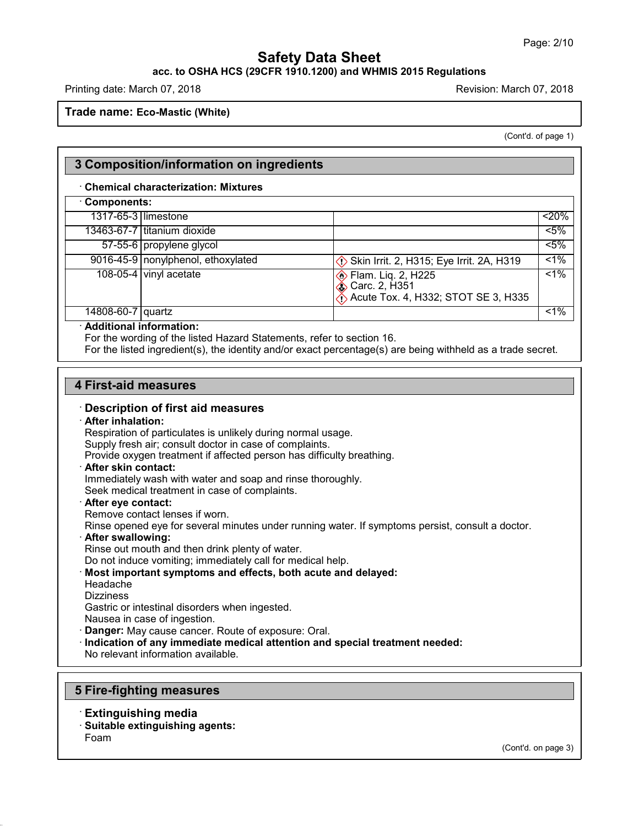### **acc. to OSHA HCS (29CFR 1910.1200) and WHMIS 2015 Regulations**

Printing date: March 07, 2018 **Printing date: March 07, 2018** Revision: March 07, 2018

**Trade name: Eco-Mastic (White)**

(Cont'd. of page 1)

### **3 Composition/information on ingredients**

#### · **Chemical characterization: Mixtures**

| Components:               |                                    |                                                                                                                        |         |
|---------------------------|------------------------------------|------------------------------------------------------------------------------------------------------------------------|---------|
|                           | 1317-65-3 limestone                |                                                                                                                        | $<$ 20% |
|                           | 13463-67-7 titanium dioxide        |                                                                                                                        | $5\%$   |
|                           | 57-55-6 propylene glycol           |                                                                                                                        | $5\%$   |
|                           | 9016-45-9 nonylphenol, ethoxylated | Skin Irrit. 2, H315; Eye Irrit. 2A, H319                                                                               | $1\%$   |
|                           | 108-05-4 vinyl acetate             | <b>Elam.</b> Lig. 2, H225<br><b>&amp; Carc. 2, H351</b><br>$\langle \cdot \rangle$ Acute Tox. 4, H332; STOT SE 3, H335 | $< 1\%$ |
| 14808-60-7 quartz         |                                    |                                                                                                                        | $< 1\%$ |
| · Additional information: |                                    |                                                                                                                        |         |

For the wording of the listed Hazard Statements, refer to section 16.

For the listed ingredient(s), the identity and/or exact percentage(s) are being withheld as a trade secret.

#### **4 First-aid measures**

#### · **Description of first aid measures**

#### · **After inhalation:**

Respiration of particulates is unlikely during normal usage.

Supply fresh air; consult doctor in case of complaints.

Provide oxygen treatment if affected person has difficulty breathing.

#### · **After skin contact:**

Immediately wash with water and soap and rinse thoroughly. Seek medical treatment in case of complaints.

### · **After eye contact:**

Remove contact lenses if worn.

Rinse opened eye for several minutes under running water. If symptoms persist, consult a doctor.

· **After swallowing:**

Rinse out mouth and then drink plenty of water.

Do not induce vomiting; immediately call for medical help.

- · **Most important symptoms and effects, both acute and delayed:**
- Headache
- **Dizziness**

Gastric or intestinal disorders when ingested.

Nausea in case of ingestion.

- · **Danger:** May cause cancer. Route of exposure: Oral.
- · **Indication of any immediate medical attention and special treatment needed:**

No relevant information available.

#### **5 Fire-fighting measures**

- · **Extinguishing media**
- · **Suitable extinguishing agents:**

Foam

46.0.4

(Cont'd. on page 3)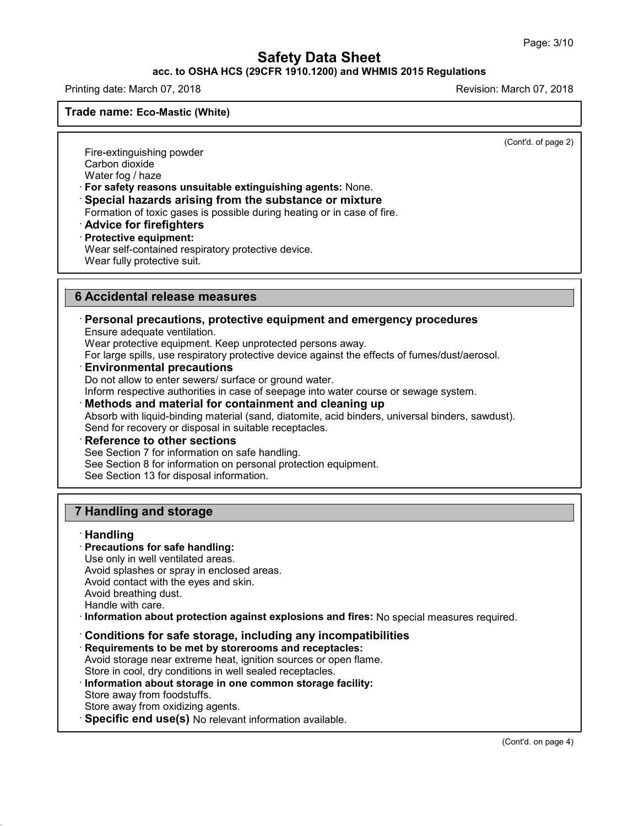#### **acc. to OSHA HCS (29CFR 1910.1200) and WHMIS 2015 Regulations**

Printing date: March 07, 2018 **Printing date: March 07, 2018** Revision: March 07, 2018

**Trade name: Eco-Mastic (White)**

(Cont'd. of page 2)

Fire-extinguishing powder Carbon dioxide Water fog / haze

· **For safety reasons unsuitable extinguishing agents:** None.

· **Special hazards arising from the substance or mixture**

Formation of toxic gases is possible during heating or in case of fire.

· **Advice for firefighters**

· **Protective equipment:**

Wear self-contained respiratory protective device.

Wear fully protective suit.

### **6 Accidental release measures**

### · **Personal precautions, protective equipment and emergency procedures**

Ensure adequate ventilation.

Wear protective equipment. Keep unprotected persons away.

For large spills, use respiratory protective device against the effects of fumes/dust/aerosol.

· **Environmental precautions**

Do not allow to enter sewers/ surface or ground water.

Inform respective authorities in case of seepage into water course or sewage system.

· **Methods and material for containment and cleaning up**

Absorb with liquid-binding material (sand, diatomite, acid binders, universal binders, sawdust). Send for recovery or disposal in suitable receptacles.

· **Reference to other sections**

See Section 7 for information on safe handling.

See Section 8 for information on personal protection equipment.

See Section 13 for disposal information.

## **7 Handling and storage**

#### · **Handling**

46.0.4

### · **Precautions for safe handling:**

Use only in well ventilated areas. Avoid splashes or spray in enclosed areas. Avoid contact with the eyes and skin.

Avoid breathing dust.

Handle with care.

· **Information about protection against explosions and fires:** No special measures required.

· **Conditions for safe storage, including any incompatibilities**

· **Requirements to be met by storerooms and receptacles:**

Avoid storage near extreme heat, ignition sources or open flame.

Store in cool, dry conditions in well sealed receptacles.

· **Information about storage in one common storage facility:**

Store away from foodstuffs.

Store away from oxidizing agents.

· **Specific end use(s)** No relevant information available.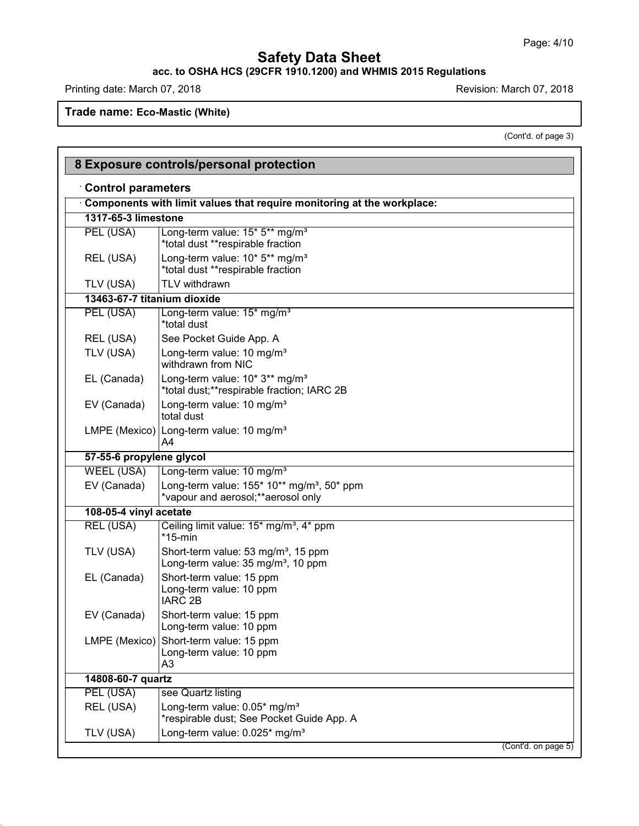#### **acc. to OSHA HCS (29CFR 1910.1200) and WHMIS 2015 Regulations**

Printing date: March 07, 2018 **Printing date: March 07, 2018** 

Г

46.0.4

**Trade name: Eco-Mastic (White)**

(Cont'd. of page 3)

|                             | 8 Exposure controls/personal protection                                                           |
|-----------------------------|---------------------------------------------------------------------------------------------------|
| <b>Control parameters</b>   |                                                                                                   |
|                             | Components with limit values that require monitoring at the workplace:                            |
| 1317-65-3 limestone         |                                                                                                   |
| PEL (USA)                   | Long-term value: 15* 5** mg/m <sup>3</sup><br>*total dust **respirable fraction                   |
| REL (USA)                   | Long-term value: 10* 5** mg/m <sup>3</sup><br>*total dust **respirable fraction                   |
| TLV (USA)                   | TLV withdrawn                                                                                     |
| 13463-67-7 titanium dioxide |                                                                                                   |
| PEL (USA)                   | Long-term value: 15* mg/m <sup>3</sup><br>*total dust                                             |
| REL (USA)                   | See Pocket Guide App. A                                                                           |
| TLV (USA)                   | Long-term value: 10 mg/m <sup>3</sup><br>withdrawn from NIC                                       |
| EL (Canada)                 | Long-term value: 10* 3** mg/m <sup>3</sup><br>*total dust;**respirable fraction; IARC 2B          |
| EV (Canada)                 | Long-term value: 10 mg/m <sup>3</sup><br>total dust                                               |
|                             | LMPE (Mexico) Long-term value: 10 mg/m <sup>3</sup><br>A4                                         |
| 57-55-6 propylene glycol    |                                                                                                   |
| <b>WEEL (USA)</b>           | Long-term value: 10 mg/m <sup>3</sup>                                                             |
| EV (Canada)                 | Long-term value: 155* 10** mg/m <sup>3</sup> , 50* ppm<br>*vapour and aerosol; ** aerosol only    |
| 108-05-4 vinyl acetate      |                                                                                                   |
| REL (USA)                   | Ceiling limit value: 15* mg/m <sup>3</sup> , 4* ppm<br>$*15$ -min                                 |
| TLV (USA)                   | Short-term value: 53 mg/m <sup>3</sup> , 15 ppm<br>Long-term value: 35 mg/m <sup>3</sup> , 10 ppm |
| EL (Canada)                 | Short-term value: 15 ppm<br>Long-term value: 10 ppm<br><b>IARC 2B</b>                             |
| EV (Canada)                 | Short-term value: 15 ppm<br>Long-term value: 10 ppm                                               |
|                             | LMPE (Mexico) Short-term value: 15 ppm<br>Long-term value: 10 ppm<br>A <sub>3</sub>               |
| 14808-60-7 quartz           |                                                                                                   |
| PEL (USA)                   | see Quartz listing                                                                                |
| REL (USA)                   | Long-term value: 0.05* mg/m <sup>3</sup><br>*respirable dust; See Pocket Guide App. A             |
| TLV (USA)                   | Long-term value: 0.025* mg/m <sup>3</sup>                                                         |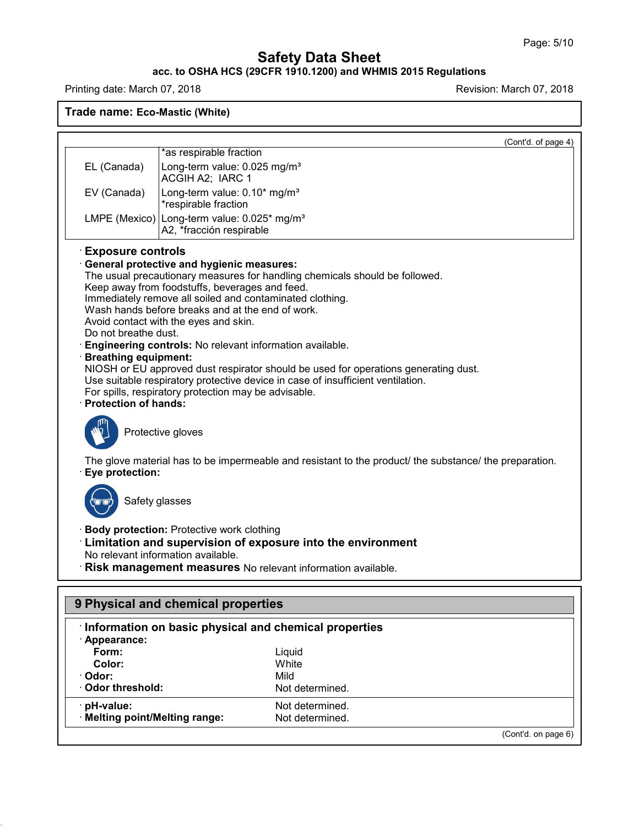#### **acc. to OSHA HCS (29CFR 1910.1200) and WHMIS 2015 Regulations**

Printing date: March 07, 2018 **Printing date: March 07, 2018** 

**Trade name: Eco-Mastic (White)**

|                                                                                                           | (Cont'd. of page 4)                                                                                                                                                                                                                                                                                                                                                                                                                                                                                                                                                                                                               |
|-----------------------------------------------------------------------------------------------------------|-----------------------------------------------------------------------------------------------------------------------------------------------------------------------------------------------------------------------------------------------------------------------------------------------------------------------------------------------------------------------------------------------------------------------------------------------------------------------------------------------------------------------------------------------------------------------------------------------------------------------------------|
|                                                                                                           | *as respirable fraction                                                                                                                                                                                                                                                                                                                                                                                                                                                                                                                                                                                                           |
| EL (Canada)                                                                                               | Long-term value: 0.025 mg/m <sup>3</sup><br>ACGIH A2; IARC 1                                                                                                                                                                                                                                                                                                                                                                                                                                                                                                                                                                      |
| EV (Canada)                                                                                               | Long-term value: 0.10* mg/m <sup>3</sup><br>*respirable fraction                                                                                                                                                                                                                                                                                                                                                                                                                                                                                                                                                                  |
|                                                                                                           | LMPE (Mexico) Long-term value: $0.025*$ mg/m <sup>3</sup><br>A2, *fracción respirable                                                                                                                                                                                                                                                                                                                                                                                                                                                                                                                                             |
| <b>Exposure controls</b><br>Do not breathe dust.<br><b>Breathing equipment:</b><br>· Protection of hands: | General protective and hygienic measures:<br>The usual precautionary measures for handling chemicals should be followed.<br>Keep away from foodstuffs, beverages and feed.<br>Immediately remove all soiled and contaminated clothing.<br>Wash hands before breaks and at the end of work.<br>Avoid contact with the eyes and skin.<br>Engineering controls: No relevant information available.<br>NIOSH or EU approved dust respirator should be used for operations generating dust.<br>Use suitable respiratory protective device in case of insufficient ventilation.<br>For spills, respiratory protection may be advisable. |
|                                                                                                           | Protective gloves<br>The glove material has to be impermeable and resistant to the product the substance the preparation.                                                                                                                                                                                                                                                                                                                                                                                                                                                                                                         |
| Eye protection:<br>Safety glasses                                                                         |                                                                                                                                                                                                                                                                                                                                                                                                                                                                                                                                                                                                                                   |
|                                                                                                           | · Body protection: Protective work clothing<br>Limitation and supervision of exposure into the environment<br>No relevant information available.<br>Risk management measures No relevant information available.                                                                                                                                                                                                                                                                                                                                                                                                                   |
|                                                                                                           | 9 Physical and chemical properties                                                                                                                                                                                                                                                                                                                                                                                                                                                                                                                                                                                                |
|                                                                                                           | Information on basic physical and chemical properties                                                                                                                                                                                                                                                                                                                                                                                                                                                                                                                                                                             |
| · Appearance:                                                                                             |                                                                                                                                                                                                                                                                                                                                                                                                                                                                                                                                                                                                                                   |
| Form:                                                                                                     | Liquid                                                                                                                                                                                                                                                                                                                                                                                                                                                                                                                                                                                                                            |
| Color:                                                                                                    | White                                                                                                                                                                                                                                                                                                                                                                                                                                                                                                                                                                                                                             |
| · Odor:                                                                                                   | Mild                                                                                                                                                                                                                                                                                                                                                                                                                                                                                                                                                                                                                              |
| Odor threshold:                                                                                           | Not determined.                                                                                                                                                                                                                                                                                                                                                                                                                                                                                                                                                                                                                   |

**· pH-value:** Not determined.<br>**· Melting point/Melting range:** Not determined.  $\cdot$  Melting point/Melting range:

**· Odor threshold:** 

46.0.4

(Cont'd. on page 6)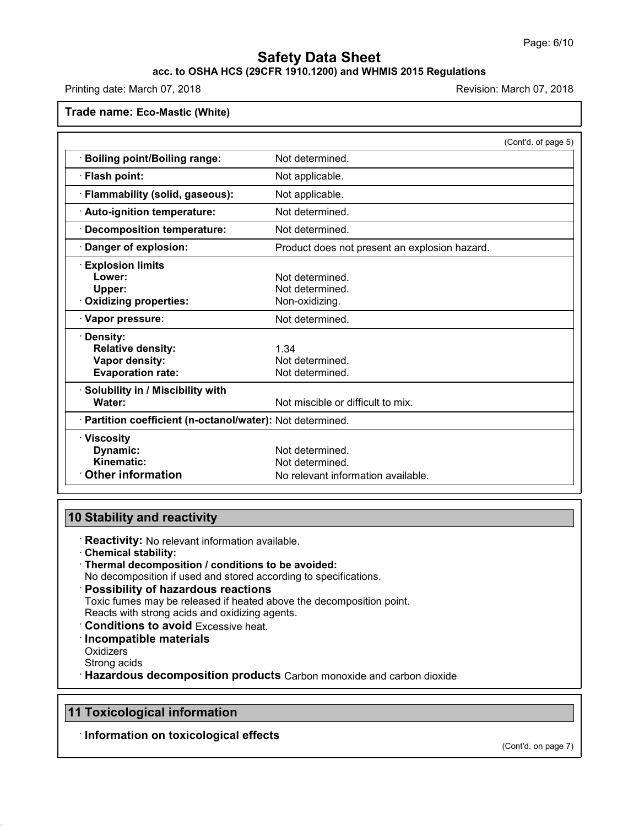## **acc. to OSHA HCS (29CFR 1910.1200) and WHMIS 2015 Regulations**

Printing date: March 07, 2018 **Printing date: March 07, 2018** Revision: March 07, 2018

**Trade name: Eco-Mastic (White)**

|                                                            | (Cont'd. of page 5)                           |
|------------------------------------------------------------|-----------------------------------------------|
| <b>Boiling point/Boiling range:</b>                        | Not determined.                               |
| · Flash point:                                             | Not applicable.                               |
| · Flammability (solid, gaseous):                           | Not applicable.                               |
| · Auto-ignition temperature:                               | Not determined.                               |
| · Decomposition temperature:                               | Not determined.                               |
| · Danger of explosion:                                     | Product does not present an explosion hazard. |
| <b>Explosion limits</b>                                    |                                               |
| Lower:                                                     | Not determined.                               |
| Upper:                                                     | Not determined.                               |
| · Oxidizing properties:                                    | Non-oxidizing.                                |
| · Vapor pressure:                                          | Not determined.                               |
| · Density:                                                 |                                               |
| <b>Relative density:</b>                                   | 1.34                                          |
| Vapor density:                                             | Not determined.                               |
| <b>Evaporation rate:</b>                                   | Not determined.                               |
| · Solubility in / Miscibility with                         |                                               |
| Water:                                                     | Not miscible or difficult to mix.             |
| · Partition coefficient (n-octanol/water): Not determined. |                                               |
| · Viscosity                                                |                                               |
| Dynamic:                                                   | Not determined.                               |
| Kinematic:                                                 | Not determined.                               |
| <b>Other information</b>                                   | No relevant information available.            |

### **10 Stability and reactivity**

- · **Reactivity:** No relevant information available.
- · **Chemical stability:**
- · **Thermal decomposition / conditions to be avoided:**
- No decomposition if used and stored according to specifications.
- · **Possibility of hazardous reactions**

Toxic fumes may be released if heated above the decomposition point. Reacts with strong acids and oxidizing agents.

- · **Conditions to avoid** Excessive heat.
- · **Incompatible materials**
- **Oxidizers**

46.0.4

Strong acids

· **Hazardous decomposition products** Carbon monoxide and carbon dioxide

## **11 Toxicological information**

· **Information on toxicological effects**

(Cont'd. on page 7)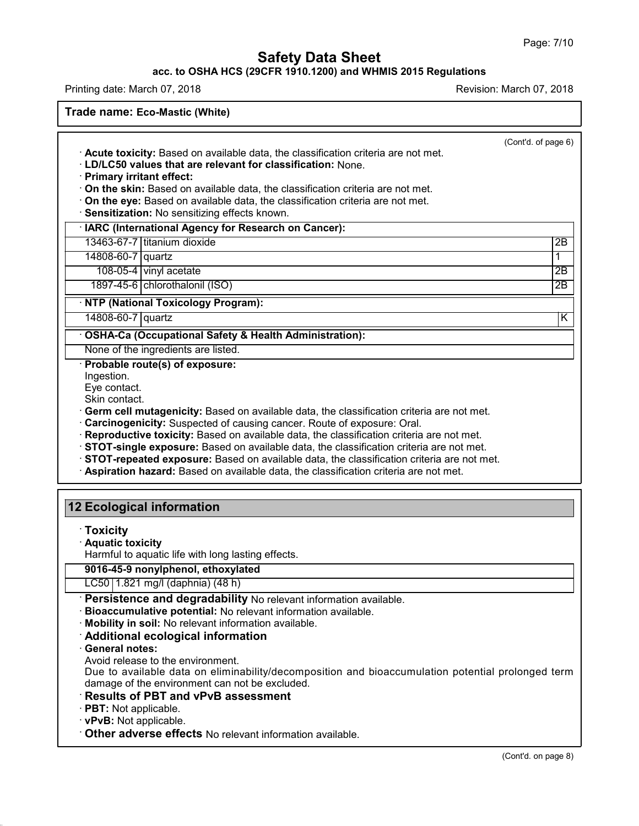#### **acc. to OSHA HCS (29CFR 1910.1200) and WHMIS 2015 Regulations**

Printing date: March 07, 2018 **Printing date: March 07, 2018** Revision: March 07, 2018

**Trade name: Eco-Mastic (White)**

(Cont'd. of page 6) · **Acute toxicity:** Based on available data, the classification criteria are not met. · **LD/LC50 values that are relevant for classification:** None. · **Primary irritant effect:** · **On the skin:** Based on available data, the classification criteria are not met. · **On the eye:** Based on available data, the classification criteria are not met. · **Sensitization:** No sensitizing effects known. · **IARC (International Agency for Research on Cancer):** 13463-67-7 titanium dioxide 2B 14808-60-7 quartz 1 108-05-4 vinylacetate 2B 1897-45-6 chlorothalonil (ISO) 2B · **NTP (National Toxicology Program):** 14808-60-7 quartz K · **OSHA-Ca (Occupational Safety & Health Administration):** None of the ingredients are listed. · **Probable route(s) of exposure:** Ingestion. Eye contact. Skin contact. · **Germ cell mutagenicity:** Based on available data, the classification criteria are not met. · **Carcinogenicity:** Suspected of causing cancer. Route of exposure: Oral. · **Reproductive toxicity:** Based on available data, the classification criteria are not met. · **STOT-single exposure:** Based on available data, the classification criteria are not met. · **STOT-repeated exposure:** Based on available data, the classification criteria are not met. · **Aspiration hazard:** Based on available data, the classification criteria are not met. **12 Ecological information** · **Toxicity** · **Aquatic toxicity** Harmful to aquatic life with long lasting effects. **9016-45-9 nonylphenol, ethoxylated** LC50 1.821 mg/l (daphnia) (48 h) · **Persistence and degradability** No relevant information available. · **Bioaccumulative potential:** No relevant information available. · **Mobility in soil:** No relevant information available. · **Additional ecological information** · **General notes:** Avoid release to the environment. Due to available data on eliminability/decomposition and bioaccumulation potential prolonged term damage of the environment can not be excluded. · **Results of PBT and vPvB assessment**

· **PBT:** Not applicable.

46.0.4

· **vPvB:** Not applicable.

· **Other adverse effects** No relevant information available.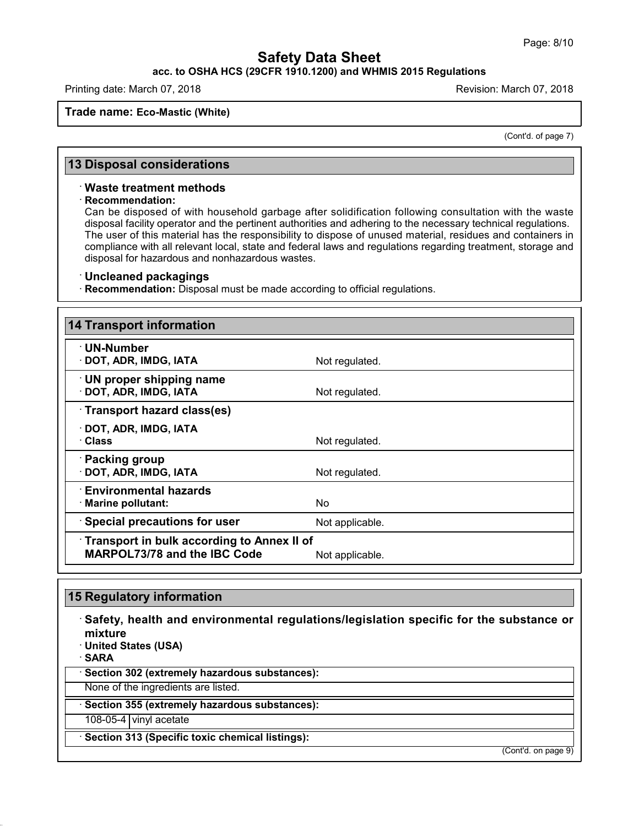#### **acc. to OSHA HCS (29CFR 1910.1200) and WHMIS 2015 Regulations**

Printing date: March 07, 2018 **Printing date: March 07, 2018** Revision: March 07, 2018

#### **Trade name: Eco-Mastic (White)**

(Cont'd. of page 7)

#### **13 Disposal considerations**

#### · **Waste treatment methods**

#### · **Recommendation:**

Can be disposed of with household garbage after solidification following consultation with the waste disposal facility operator and the pertinent authorities and adhering to the necessary technical regulations. The user of this material has the responsibility to dispose of unused material, residues and containers in compliance with all relevant local, state and federal laws and regulations regarding treatment, storage and disposal for hazardous and nonhazardous wastes.

#### · **Uncleaned packagings**

· **Recommendation:** Disposal must be made according to official regulations.

| <b>14 Transport information</b>                                                          |                 |
|------------------------------------------------------------------------------------------|-----------------|
| $\cdot$ UN-Number<br>· DOT, ADR, IMDG, IATA                                              | Not regulated.  |
| · UN proper shipping name<br>· DOT, ADR, IMDG, IATA                                      | Not regulated.  |
| Transport hazard class(es)                                                               |                 |
| · DOT, ADR, IMDG, IATA<br>· Class                                                        | Not regulated.  |
| · Packing group<br>· DOT, ADR, IMDG, IATA                                                | Not regulated.  |
| $\cdot$ Environmental hazards<br>· Marine pollutant:                                     | No.             |
| · Special precautions for user                                                           | Not applicable. |
| <b>Transport in bulk according to Annex II of</b><br><b>MARPOL73/78 and the IBC Code</b> | Not applicable. |

## **15 Regulatory information**

46.0.4

· **Safety, health and environmental regulations/legislation specific for the substance or mixture** · **United States (USA)** · **SARA** · **Section 302 (extremely hazardous substances):** None of the ingredients are listed. · **Section 355 (extremely hazardous substances):** 108-05-4 vinyl acetate · **Section 313 (Specific toxic chemical listings):** (Cont'd. on page 9)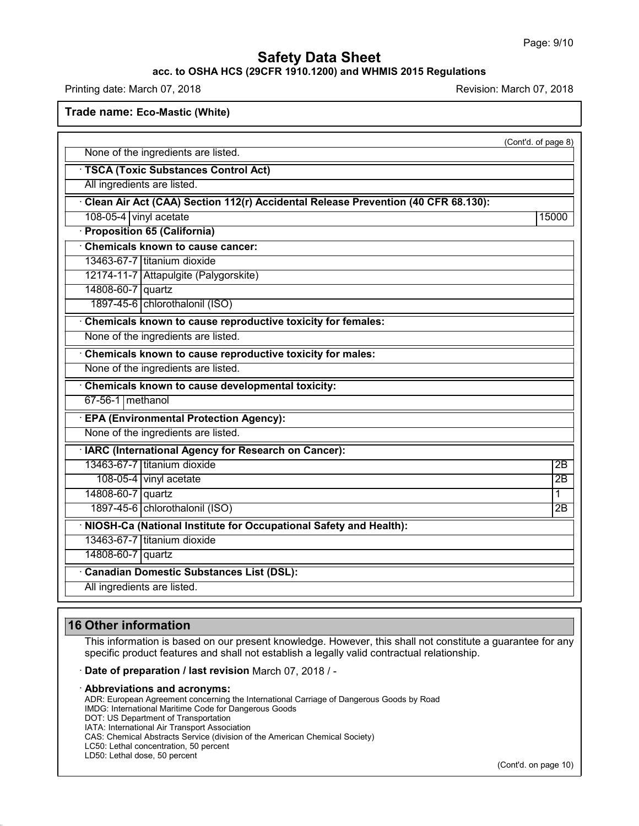### **acc. to OSHA HCS (29CFR 1910.1200) and WHMIS 2015 Regulations**

Printing date: March 07, 2018 **Printing date: March 07, 2018** Revision: March 07, 2018

**Trade name: Eco-Mastic (White)**

|                                                                                   | (Cont'd. of page 8) |
|-----------------------------------------------------------------------------------|---------------------|
| None of the ingredients are listed.                                               |                     |
| · TSCA (Toxic Substances Control Act)                                             |                     |
| All ingredients are listed.                                                       |                     |
| Clean Air Act (CAA) Section 112(r) Accidental Release Prevention (40 CFR 68.130): |                     |
| 108-05-4 vinyl acetate                                                            | 15000               |
| · Proposition 65 (California)                                                     |                     |
| Chemicals known to cause cancer:                                                  |                     |
| 13463-67-7 titanium dioxide                                                       |                     |
| 12174-11-7 Attapulgite (Palygorskite)                                             |                     |
| 14808-60-7 quartz                                                                 |                     |
| 1897-45-6 chlorothalonil (ISO)                                                    |                     |
| Chemicals known to cause reproductive toxicity for females:                       |                     |
| None of the ingredients are listed.                                               |                     |
| Chemicals known to cause reproductive toxicity for males:                         |                     |
| None of the ingredients are listed.                                               |                     |
| Chemicals known to cause developmental toxicity:                                  |                     |
| 67-56-1 methanol                                                                  |                     |
| · EPA (Environmental Protection Agency):                                          |                     |
| None of the ingredients are listed.                                               |                     |
| · IARC (International Agency for Research on Cancer):                             |                     |
| 13463-67-7 titanium dioxide                                                       | 2B                  |
| 108-05-4 vinyl acetate                                                            | $\overline{2B}$     |
| 14808-60-7 quartz                                                                 | 1                   |
| 1897-45-6 chlorothalonil (ISO)                                                    | $\overline{2B}$     |
| · NIOSH-Ca (National Institute for Occupational Safety and Health):               |                     |
| 13463-67-7 Ititanium dioxide                                                      |                     |
| 14808-60-7 quartz                                                                 |                     |
| <b>Canadian Domestic Substances List (DSL):</b>                                   |                     |
| All ingredients are listed.                                                       |                     |

## **16 Other information**

This information is based on our present knowledge. However, this shall not constitute a guarantee for any specific product features and shall not establish a legally valid contractual relationship.

#### · **Date of preparation / last revision** March 07, 2018 / -

#### · **Abbreviations and acronyms:**

ADR: European Agreement concerning the International Carriage of Dangerous Goods by Road IMDG: International Maritime Code for Dangerous Goods DOT: US Department of Transportation IATA: International Air Transport Association CAS: Chemical Abstracts Service (division of the American Chemical Society) LC50: Lethal concentration, 50 percent

LD50: Lethal dose, 50 percent

46.0.4